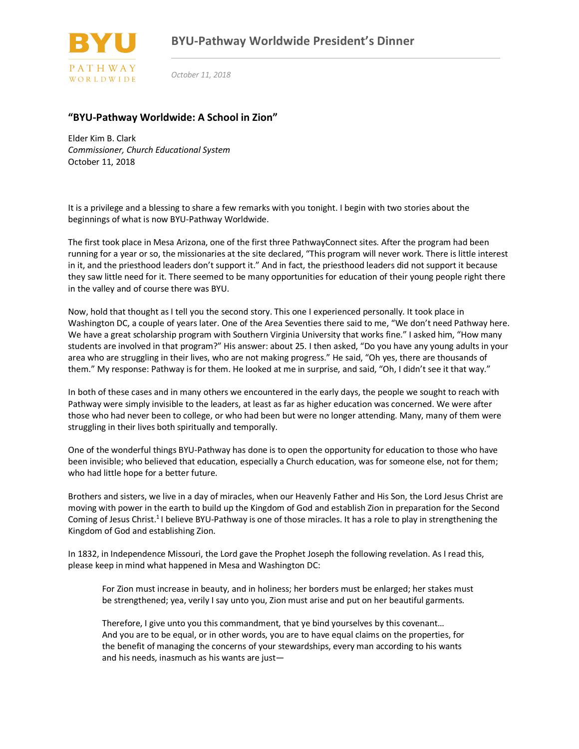

*October 11, 2018*

## **"BYU-Pathway Worldwide: A School in Zion"**

Elder Kim B. Clark *Commissioner, Church Educational System* October 11, 2018

It is a privilege and a blessing to share a few remarks with you tonight. I begin with two stories about the beginnings of what is now BYU-Pathway Worldwide.

The first took place in Mesa Arizona, one of the first three PathwayConnect sites. After the program had been running for a year or so, the missionaries at the site declared, "This program will never work. There is little interest in it, and the priesthood leaders don't support it." And in fact, the priesthood leaders did not support it because they saw little need for it. There seemed to be many opportunities for education of their young people right there in the valley and of course there was BYU.

Now, hold that thought as I tell you the second story. This one I experienced personally. It took place in Washington DC, a couple of years later. One of the Area Seventies there said to me, "We don't need Pathway here. We have a great scholarship program with Southern Virginia University that works fine." I asked him, "How many students are involved in that program?" His answer: about 25. I then asked, "Do you have any young adults in your area who are struggling in their lives, who are not making progress." He said, "Oh yes, there are thousands of them." My response: Pathway is for them. He looked at me in surprise, and said, "Oh, I didn't see it that way."

In both of these cases and in many others we encountered in the early days, the people we sought to reach with Pathway were simply invisible to the leaders, at least as far as higher education was concerned. We were after those who had never been to college, or who had been but were no longer attending. Many, many of them were struggling in their lives both spiritually and temporally.

One of the wonderful things BYU-Pathway has done is to open the opportunity for education to those who have been invisible; who believed that education, especially a Church education, was for someone else, not for them; who had little hope for a better future.

Brothers and sisters, we live in a day of miracles, when our Heavenly Father and His Son, the Lord Jesus Christ are moving with power in the earth to build up the Kingdom of God and establish Zion in preparation for the Second Coming of Jesus Christ.<sup>1</sup> I believe BYU-Pathway is one of those miracles. It has a role to play in strengthening the Kingdom of God and establishing Zion.

In 1832, in Independence Missouri, the Lord gave the Prophet Joseph the following revelation. As I read this, please keep in mind what happened in Mesa and Washington DC:

For Zion must increase in beauty, and in holiness; her borders must be enlarged; her stakes must be strengthened; yea, verily I say unto you, Zion must arise and put on her beautiful garments.

Therefore, I give unto you this commandment, that ye bind yourselves by this covenant… And you are to be equal, or in other words, you are to have equal claims on the properties, for the benefit of managing the concerns of your stewardships, every man according to his wants and his needs, inasmuch as his wants are just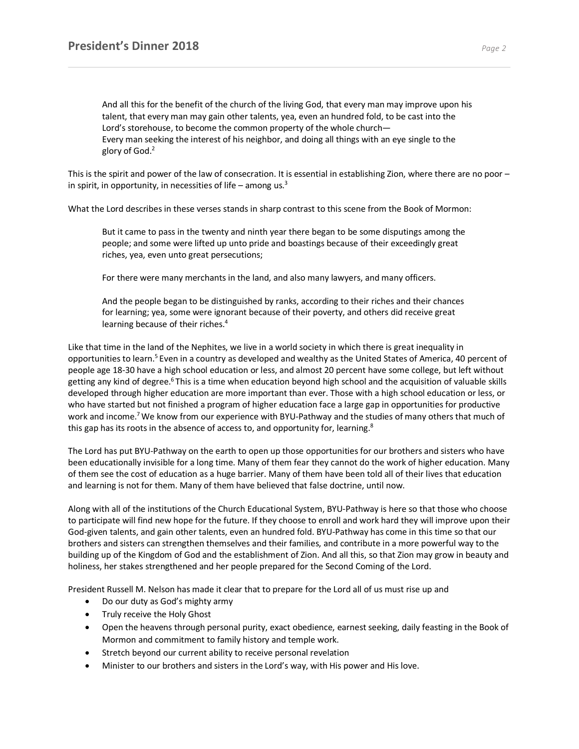And all this for the benefit of the church of the living God, that every man may improve upon his talent, that every man may gain other talents, yea, even an hundred fold, to be cast into the Lord's storehouse, to become the common property of the whole church— Every man seeking the interest of his neighbor, and doing all things with an eye single to the glory of God.<sup>2</sup>

This is the spirit and power of the law of consecration. It is essential in establishing Zion, where there are no poor – in spirit, in opportunity, in necessities of life – among us. $3$ 

What the Lord describes in these verses stands in sharp contrast to this scene from the Book of Mormon:

But it came to pass in the twenty and ninth year there began to be some disputings among the people; and some were lifted up unto pride and boastings because of their exceedingly great riches, yea, even unto great persecutions;

For there were many merchants in the land, and also many lawyers, and many officers.

And the people began to be distinguished by ranks, according to their riches and their chances for learning; yea, some were ignorant because of their poverty, and others did receive great learning because of their riches.<sup>4</sup>

Like that time in the land of the Nephites, we live in a world society in which there is great inequality in opportunities to learn.<sup>5</sup> Even in a country as developed and wealthy as the United States of America, 40 percent of people age 18-30 have a high school education or less, and almost 20 percent have some college, but left without getting any kind of degree.<sup>6</sup> This is a time when education beyond high school and the acquisition of valuable skills developed through higher education are more important than ever. Those with a high school education or less, or who have started but not finished a program of higher education face a large gap in opportunities for productive work and income.<sup>7</sup> We know from our experience with BYU-Pathway and the studies of many others that much of this gap has its roots in the absence of access to, and opportunity for, learning.<sup>8</sup>

The Lord has put BYU-Pathway on the earth to open up those opportunities for our brothers and sisters who have been educationally invisible for a long time. Many of them fear they cannot do the work of higher education. Many of them see the cost of education as a huge barrier. Many of them have been told all of their lives that education and learning is not for them. Many of them have believed that false doctrine, until now.

Along with all of the institutions of the Church Educational System, BYU-Pathway is here so that those who choose to participate will find new hope for the future. If they choose to enroll and work hard they will improve upon their God-given talents, and gain other talents, even an hundred fold. BYU-Pathway has come in this time so that our brothers and sisters can strengthen themselves and their families, and contribute in a more powerful way to the building up of the Kingdom of God and the establishment of Zion. And all this, so that Zion may grow in beauty and holiness, her stakes strengthened and her people prepared for the Second Coming of the Lord.

President Russell M. Nelson has made it clear that to prepare for the Lord all of us must rise up and

- Do our duty as God's mighty army
- Truly receive the Holy Ghost
- Open the heavens through personal purity, exact obedience, earnest seeking, daily feasting in the Book of Mormon and commitment to family history and temple work.
- Stretch beyond our current ability to receive personal revelation
- Minister to our brothers and sisters in the Lord's way, with His power and His love.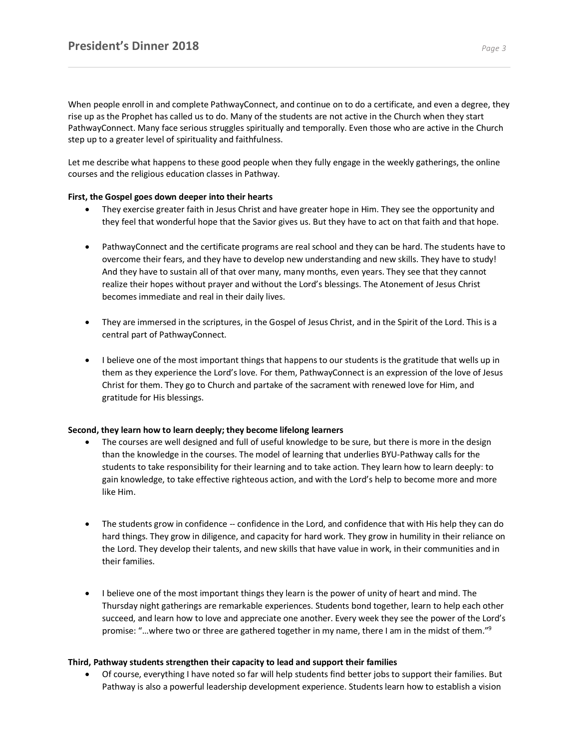When people enroll in and complete PathwayConnect, and continue on to do a certificate, and even a degree, they rise up as the Prophet has called us to do. Many of the students are not active in the Church when they start PathwayConnect. Many face serious struggles spiritually and temporally. Even those who are active in the Church step up to a greater level of spirituality and faithfulness.

Let me describe what happens to these good people when they fully engage in the weekly gatherings, the online courses and the religious education classes in Pathway.

## **First, the Gospel goes down deeper into their hearts**

- They exercise greater faith in Jesus Christ and have greater hope in Him. They see the opportunity and they feel that wonderful hope that the Savior gives us. But they have to act on that faith and that hope.
- PathwayConnect and the certificate programs are real school and they can be hard. The students have to overcome their fears, and they have to develop new understanding and new skills. They have to study! And they have to sustain all of that over many, many months, even years. They see that they cannot realize their hopes without prayer and without the Lord's blessings. The Atonement of Jesus Christ becomes immediate and real in their daily lives.
- They are immersed in the scriptures, in the Gospel of Jesus Christ, and in the Spirit of the Lord. This is a central part of PathwayConnect.
- I believe one of the most important things that happens to our students is the gratitude that wells up in them as they experience the Lord's love. For them, PathwayConnect is an expression of the love of Jesus Christ for them. They go to Church and partake of the sacrament with renewed love for Him, and gratitude for His blessings.

## **Second, they learn how to learn deeply; they become lifelong learners**

- The courses are well designed and full of useful knowledge to be sure, but there is more in the design than the knowledge in the courses. The model of learning that underlies BYU-Pathway calls for the students to take responsibility for their learning and to take action. They learn how to learn deeply: to gain knowledge, to take effective righteous action, and with the Lord's help to become more and more like Him.
- The students grow in confidence -- confidence in the Lord, and confidence that with His help they can do hard things. They grow in diligence, and capacity for hard work. They grow in humility in their reliance on the Lord. They develop their talents, and new skills that have value in work, in their communities and in their families.
- I believe one of the most important things they learn is the power of unity of heart and mind. The Thursday night gatherings are remarkable experiences. Students bond together, learn to help each other succeed, and learn how to love and appreciate one another. Every week they see the power of the Lord's promise: "…where two or three are gathered together in my name, there I am in the midst of them."9

## **Third, Pathway students strengthen their capacity to lead and support their families**

• Of course, everything I have noted so far will help students find better jobs to support their families. But Pathway is also a powerful leadership development experience. Students learn how to establish a vision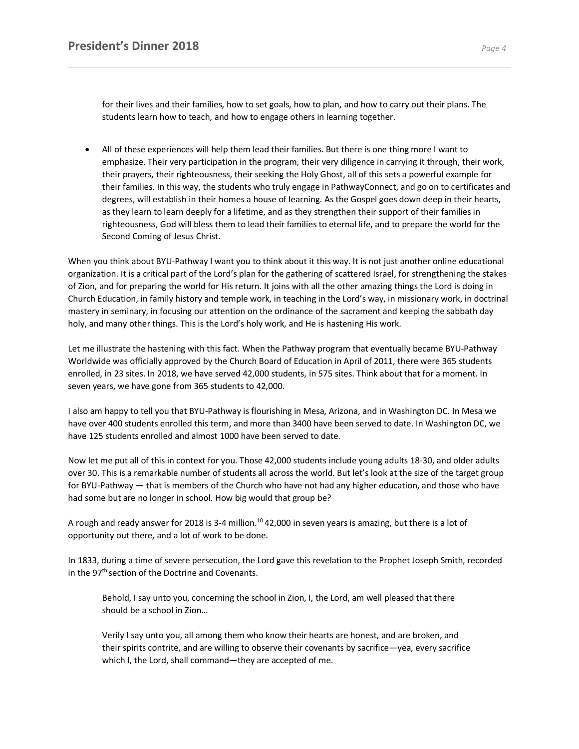for their lives and their families, how to set goals, how to plan, and how to carry out their plans. The students learn how to teach, and how to engage others in learning together.

• All of these experiences will help them lead their families. But there is one thing more I want to emphasize. Their very participation in the program, their very diligence in carrying it through, their work, their prayers, their righteousness, their seeking the Holy Ghost, all of this sets a powerful example for their families. In this way, the students who truly engage in PathwayConnect, and go on to certificates and degrees, will establish in their homes a house of learning. As the Gospel goes down deep in their hearts, as they learn to learn deeply for a lifetime, and as they strengthen their support of their families in righteousness, God will bless them to lead their families to eternal life, and to prepare the world for the Second Coming of Jesus Christ.

When you think about BYU-Pathway I want you to think about it this way. It is not just another online educational organization. It is a critical part of the Lord's plan for the gathering of scattered Israel, for strengthening the stakes of Zion, and for preparing the world for His return. It joins with all the other amazing things the Lord is doing in Church Education, in family history and temple work, in teaching in the Lord's way, in missionary work, in doctrinal mastery in seminary, in focusing our attention on the ordinance of the sacrament and keeping the sabbath day holy, and many other things. This is the Lord's holy work, and He is hastening His work.

Let me illustrate the hastening with this fact. When the Pathway program that eventually became BYU-Pathway Worldwide was officially approved by the Church Board of Education in April of 2011, there were 365 students enrolled, in 23 sites. In 2018, we have served 42,000 students, in 575 sites. Think about that for a moment. In seven years, we have gone from 365 students to 42,000.

I also am happy to tell you that BYU-Pathway is flourishing in Mesa, Arizona, and in Washington DC. In Mesa we have over 400 students enrolled this term, and more than 3400 have been served to date. In Washington DC, we have 125 students enrolled and almost 1000 have been served to date.

Now let me put all of this in context for you. Those 42,000 students include young adults 18-30, and older adults over 30. This is a remarkable number of students all across the world. But let's look at the size of the target group for BYU-Pathway — that is members of the Church who have not had any higher education, and those who have had some but are no longer in school. How big would that group be?

A rough and ready answer for 2018 is 3-4 million.<sup>10</sup> 42,000 in seven years is amazing, but there is a lot of opportunity out there, and a lot of work to be done.

In 1833, during a time of severe persecution, the Lord gave this revelation to the Prophet Joseph Smith, recorded in the  $97<sup>th</sup>$  section of the Doctrine and Covenants.

Behold, I say unto you, concerning the school in Zion, I, the Lord, am well pleased that there should be a school in Zion…

Verily I say unto you, all among them who know their hearts are honest, and are broken, and their spirits contrite, and are willing to observe their covenants by sacrifice—yea, every sacrifice which I, the Lord, shall command—they are accepted of me.